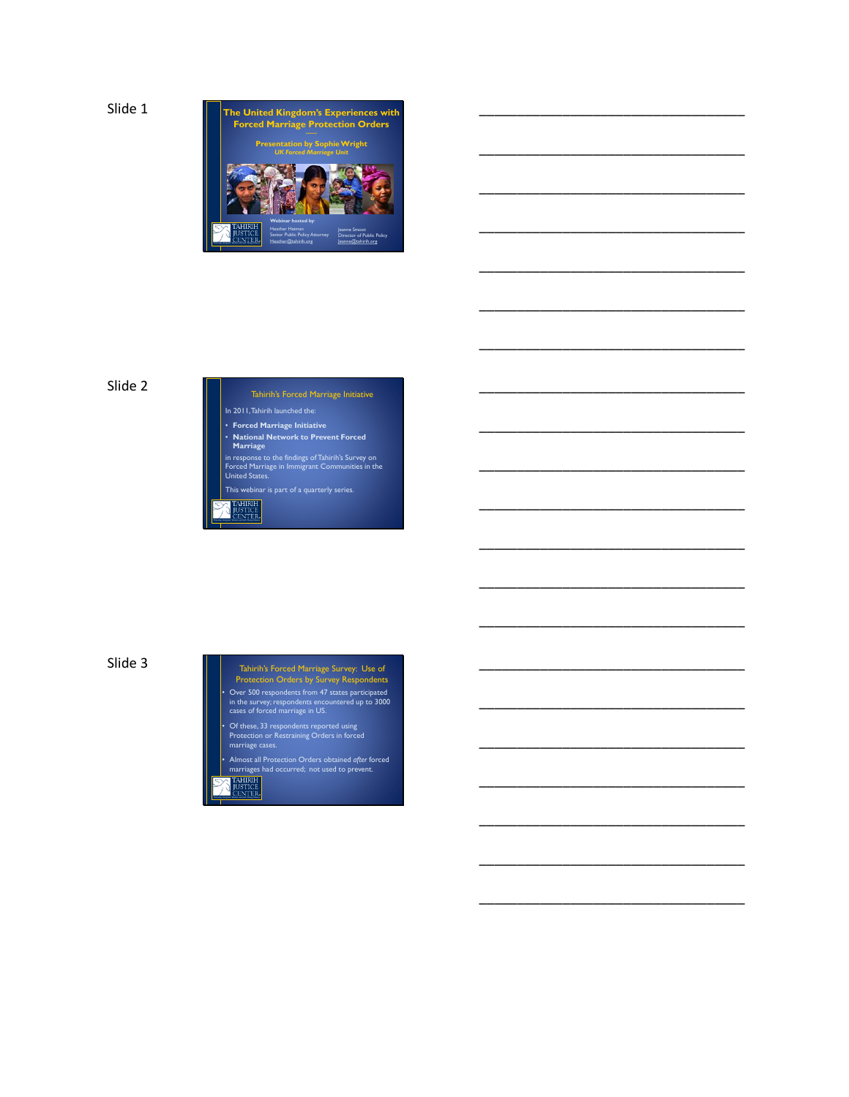Slide 1



\_\_\_\_\_\_\_\_\_\_\_\_\_\_\_\_\_\_\_\_\_\_\_\_\_\_\_\_\_\_\_\_\_\_\_

\_\_\_\_\_\_\_\_\_\_\_\_\_\_\_\_\_\_\_\_\_\_\_\_\_\_\_\_\_\_\_\_\_\_\_

\_\_\_\_\_\_\_\_\_\_\_\_\_\_\_\_\_\_\_\_\_\_\_\_\_\_\_\_\_\_\_\_\_\_\_

\_\_\_\_\_\_\_\_\_\_\_\_\_\_\_\_\_\_\_\_\_\_\_\_\_\_\_\_\_\_\_\_\_\_\_

\_\_\_\_\_\_\_\_\_\_\_\_\_\_\_\_\_\_\_\_\_\_\_\_\_\_\_\_\_\_\_\_\_\_\_

\_\_\_\_\_\_\_\_\_\_\_\_\_\_\_\_\_\_\_\_\_\_\_\_\_\_\_\_\_\_\_\_\_\_\_

\_\_\_\_\_\_\_\_\_\_\_\_\_\_\_\_\_\_\_\_\_\_\_\_\_\_\_\_\_\_\_\_\_\_\_

\_\_\_\_\_\_\_\_\_\_\_\_\_\_\_\_\_\_\_\_\_\_\_\_\_\_\_\_\_\_\_\_\_\_\_

\_\_\_\_\_\_\_\_\_\_\_\_\_\_\_\_\_\_\_\_\_\_\_\_\_\_\_\_\_\_\_\_\_\_\_

\_\_\_\_\_\_\_\_\_\_\_\_\_\_\_\_\_\_\_\_\_\_\_\_\_\_\_\_\_\_\_\_\_\_\_

\_\_\_\_\_\_\_\_\_\_\_\_\_\_\_\_\_\_\_\_\_\_\_\_\_\_\_\_\_\_\_\_\_\_\_

\_\_\_\_\_\_\_\_\_\_\_\_\_\_\_\_\_\_\_\_\_\_\_\_\_\_\_\_\_\_\_\_\_\_\_

\_\_\_\_\_\_\_\_\_\_\_\_\_\_\_\_\_\_\_\_\_\_\_\_\_\_\_\_\_\_\_\_\_\_\_

\_\_\_\_\_\_\_\_\_\_\_\_\_\_\_\_\_\_\_\_\_\_\_\_\_\_\_\_\_\_\_\_\_\_\_

\_\_\_\_\_\_\_\_\_\_\_\_\_\_\_\_\_\_\_\_\_\_\_\_\_\_\_\_\_\_\_\_\_\_\_

\_\_\_\_\_\_\_\_\_\_\_\_\_\_\_\_\_\_\_\_\_\_\_\_\_\_\_\_\_\_\_\_\_\_\_

\_\_\_\_\_\_\_\_\_\_\_\_\_\_\_\_\_\_\_\_\_\_\_\_\_\_\_\_\_\_\_\_\_\_\_

\_\_\_\_\_\_\_\_\_\_\_\_\_\_\_\_\_\_\_\_\_\_\_\_\_\_\_\_\_\_\_\_\_\_\_

\_\_\_\_\_\_\_\_\_\_\_\_\_\_\_\_\_\_\_\_\_\_\_\_\_\_\_\_\_\_\_\_\_\_\_

\_\_\_\_\_\_\_\_\_\_\_\_\_\_\_\_\_\_\_\_\_\_\_\_\_\_\_\_\_\_\_\_\_\_\_

\_\_\_\_\_\_\_\_\_\_\_\_\_\_\_\_\_\_\_\_\_\_\_\_\_\_\_\_\_\_\_\_\_\_\_

### Slide 2

Tahirih's Forced Marriage Initiative In 2011, Tahirih launched the: • **Forced Marriage Initiative** • **National Network to Prevent Forced Marriage**

in response to the findings of Tahirih's Survey on Forced Marriage in Immigrant Communities in the United States. This webinar is part of a quarterly series.

*Protecting Immigrant Women and Girls Fleeing Violence*

Slide 3

- Tahirih's Forced Marriage Survey: Use of Protection Orders by Survey Respondents • Over 500 respondents from 47 states participated in the survey; respondents encountered up to 3000 cases of forced marriage in US.
- Of these, 33 respondents reported using Protection or Restraining Orders in forced marriage cases.
- Almost all Protection Orders obtained *after* forced marriages had occurred; not used to prevent.
- *Protecting Immigrant Women and Girls Fleeing Violence*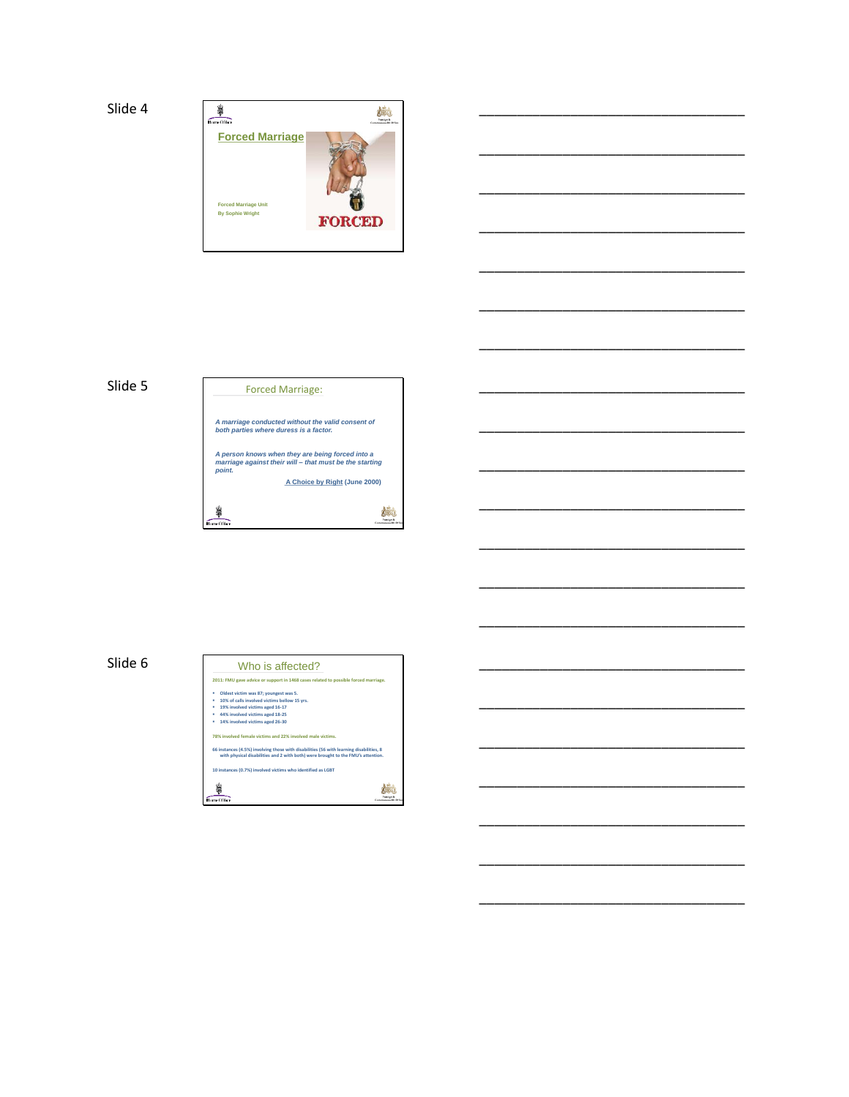### Slide 4



\_\_\_\_\_\_\_\_\_\_\_\_\_\_\_\_\_\_\_\_\_\_\_\_\_\_\_\_\_\_\_\_\_\_\_

\_\_\_\_\_\_\_\_\_\_\_\_\_\_\_\_\_\_\_\_\_\_\_\_\_\_\_\_\_\_\_\_\_\_\_

\_\_\_\_\_\_\_\_\_\_\_\_\_\_\_\_\_\_\_\_\_\_\_\_\_\_\_\_\_\_\_\_\_\_\_

\_\_\_\_\_\_\_\_\_\_\_\_\_\_\_\_\_\_\_\_\_\_\_\_\_\_\_\_\_\_\_\_\_\_\_

\_\_\_\_\_\_\_\_\_\_\_\_\_\_\_\_\_\_\_\_\_\_\_\_\_\_\_\_\_\_\_\_\_\_\_

\_\_\_\_\_\_\_\_\_\_\_\_\_\_\_\_\_\_\_\_\_\_\_\_\_\_\_\_\_\_\_\_\_\_\_

\_\_\_\_\_\_\_\_\_\_\_\_\_\_\_\_\_\_\_\_\_\_\_\_\_\_\_\_\_\_\_\_\_\_\_

\_\_\_\_\_\_\_\_\_\_\_\_\_\_\_\_\_\_\_\_\_\_\_\_\_\_\_\_\_\_\_\_\_\_\_

\_\_\_\_\_\_\_\_\_\_\_\_\_\_\_\_\_\_\_\_\_\_\_\_\_\_\_\_\_\_\_\_\_\_\_

\_\_\_\_\_\_\_\_\_\_\_\_\_\_\_\_\_\_\_\_\_\_\_\_\_\_\_\_\_\_\_\_\_\_\_

\_\_\_\_\_\_\_\_\_\_\_\_\_\_\_\_\_\_\_\_\_\_\_\_\_\_\_\_\_\_\_\_\_\_\_

\_\_\_\_\_\_\_\_\_\_\_\_\_\_\_\_\_\_\_\_\_\_\_\_\_\_\_\_\_\_\_\_\_\_\_

\_\_\_\_\_\_\_\_\_\_\_\_\_\_\_\_\_\_\_\_\_\_\_\_\_\_\_\_\_\_\_\_\_\_\_

\_\_\_\_\_\_\_\_\_\_\_\_\_\_\_\_\_\_\_\_\_\_\_\_\_\_\_\_\_\_\_\_\_\_\_

\_\_\_\_\_\_\_\_\_\_\_\_\_\_\_\_\_\_\_\_\_\_\_\_\_\_\_\_\_\_\_\_\_\_\_

\_\_\_\_\_\_\_\_\_\_\_\_\_\_\_\_\_\_\_\_\_\_\_\_\_\_\_\_\_\_\_\_\_\_\_

\_\_\_\_\_\_\_\_\_\_\_\_\_\_\_\_\_\_\_\_\_\_\_\_\_\_\_\_\_\_\_\_\_\_\_

\_\_\_\_\_\_\_\_\_\_\_\_\_\_\_\_\_\_\_\_\_\_\_\_\_\_\_\_\_\_\_\_\_\_\_

\_\_\_\_\_\_\_\_\_\_\_\_\_\_\_\_\_\_\_\_\_\_\_\_\_\_\_\_\_\_\_\_\_\_\_

\_\_\_\_\_\_\_\_\_\_\_\_\_\_\_\_\_\_\_\_\_\_\_\_\_\_\_\_\_\_\_\_\_\_\_

\_\_\_\_\_\_\_\_\_\_\_\_\_\_\_\_\_\_\_\_\_\_\_\_\_\_\_\_\_\_\_\_\_\_\_

# Slide 5



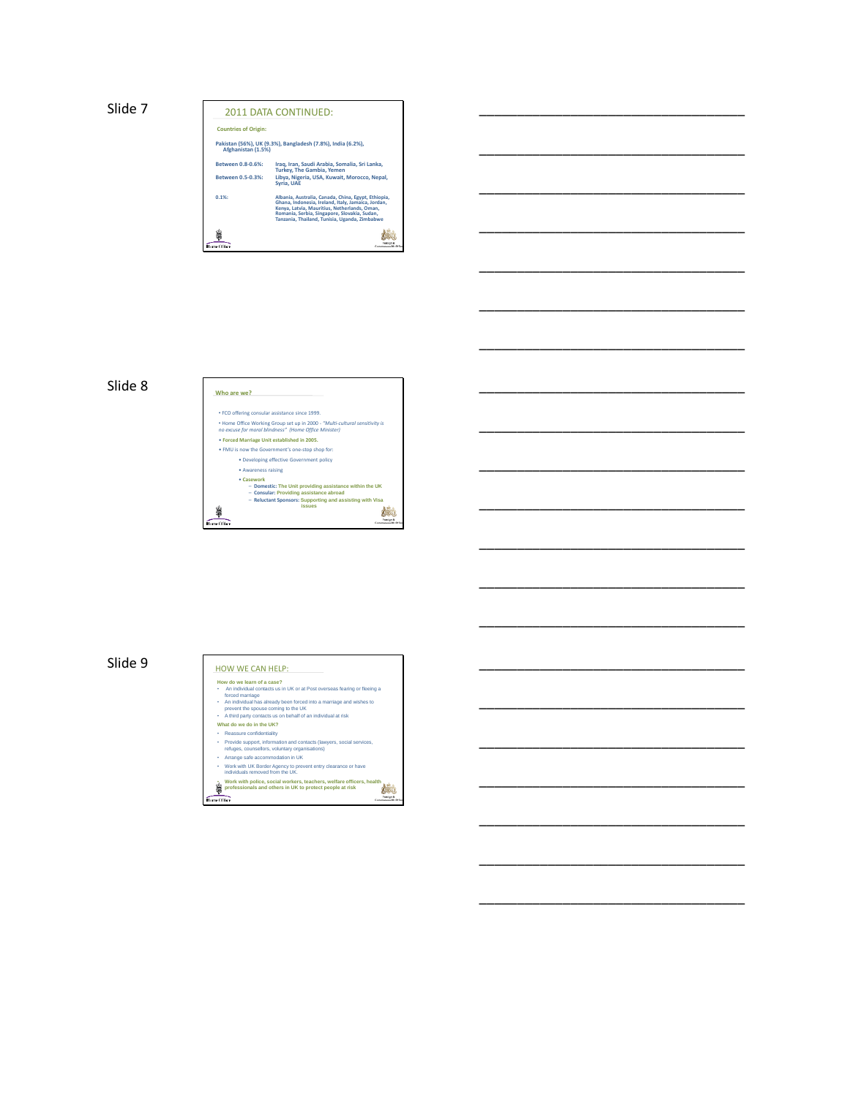

\_\_\_\_\_\_\_\_\_\_\_\_\_\_\_\_\_\_\_\_\_\_\_\_\_\_\_\_\_\_\_\_\_\_\_

\_\_\_\_\_\_\_\_\_\_\_\_\_\_\_\_\_\_\_\_\_\_\_\_\_\_\_\_\_\_\_\_\_\_\_

\_\_\_\_\_\_\_\_\_\_\_\_\_\_\_\_\_\_\_\_\_\_\_\_\_\_\_\_\_\_\_\_\_\_\_

\_\_\_\_\_\_\_\_\_\_\_\_\_\_\_\_\_\_\_\_\_\_\_\_\_\_\_\_\_\_\_\_\_\_\_

\_\_\_\_\_\_\_\_\_\_\_\_\_\_\_\_\_\_\_\_\_\_\_\_\_\_\_\_\_\_\_\_\_\_\_

\_\_\_\_\_\_\_\_\_\_\_\_\_\_\_\_\_\_\_\_\_\_\_\_\_\_\_\_\_\_\_\_\_\_\_

\_\_\_\_\_\_\_\_\_\_\_\_\_\_\_\_\_\_\_\_\_\_\_\_\_\_\_\_\_\_\_\_\_\_\_

\_\_\_\_\_\_\_\_\_\_\_\_\_\_\_\_\_\_\_\_\_\_\_\_\_\_\_\_\_\_\_\_\_\_\_

\_\_\_\_\_\_\_\_\_\_\_\_\_\_\_\_\_\_\_\_\_\_\_\_\_\_\_\_\_\_\_\_\_\_\_

\_\_\_\_\_\_\_\_\_\_\_\_\_\_\_\_\_\_\_\_\_\_\_\_\_\_\_\_\_\_\_\_\_\_\_

\_\_\_\_\_\_\_\_\_\_\_\_\_\_\_\_\_\_\_\_\_\_\_\_\_\_\_\_\_\_\_\_\_\_\_

\_\_\_\_\_\_\_\_\_\_\_\_\_\_\_\_\_\_\_\_\_\_\_\_\_\_\_\_\_\_\_\_\_\_\_

\_\_\_\_\_\_\_\_\_\_\_\_\_\_\_\_\_\_\_\_\_\_\_\_\_\_\_\_\_\_\_\_\_\_\_

\_\_\_\_\_\_\_\_\_\_\_\_\_\_\_\_\_\_\_\_\_\_\_\_\_\_\_\_\_\_\_\_\_\_\_

\_\_\_\_\_\_\_\_\_\_\_\_\_\_\_\_\_\_\_\_\_\_\_\_\_\_\_\_\_\_\_\_\_\_\_

\_\_\_\_\_\_\_\_\_\_\_\_\_\_\_\_\_\_\_\_\_\_\_\_\_\_\_\_\_\_\_\_\_\_\_

\_\_\_\_\_\_\_\_\_\_\_\_\_\_\_\_\_\_\_\_\_\_\_\_\_\_\_\_\_\_\_\_\_\_\_

\_\_\_\_\_\_\_\_\_\_\_\_\_\_\_\_\_\_\_\_\_\_\_\_\_\_\_\_\_\_\_\_\_\_\_

\_\_\_\_\_\_\_\_\_\_\_\_\_\_\_\_\_\_\_\_\_\_\_\_\_\_\_\_\_\_\_\_\_\_\_



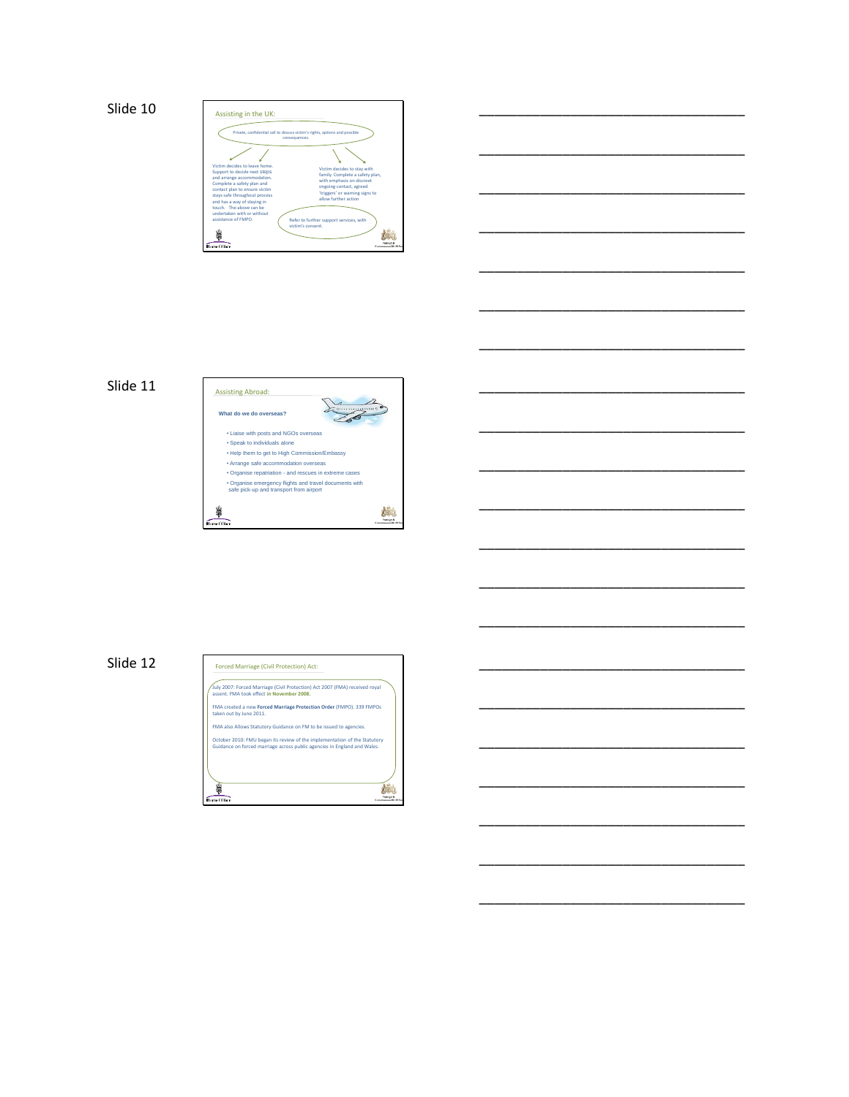

\_\_\_\_\_\_\_\_\_\_\_\_\_\_\_\_\_\_\_\_\_\_\_\_\_\_\_\_\_\_\_\_\_\_\_

\_\_\_\_\_\_\_\_\_\_\_\_\_\_\_\_\_\_\_\_\_\_\_\_\_\_\_\_\_\_\_\_\_\_\_

\_\_\_\_\_\_\_\_\_\_\_\_\_\_\_\_\_\_\_\_\_\_\_\_\_\_\_\_\_\_\_\_\_\_\_

\_\_\_\_\_\_\_\_\_\_\_\_\_\_\_\_\_\_\_\_\_\_\_\_\_\_\_\_\_\_\_\_\_\_\_

\_\_\_\_\_\_\_\_\_\_\_\_\_\_\_\_\_\_\_\_\_\_\_\_\_\_\_\_\_\_\_\_\_\_\_

\_\_\_\_\_\_\_\_\_\_\_\_\_\_\_\_\_\_\_\_\_\_\_\_\_\_\_\_\_\_\_\_\_\_\_

\_\_\_\_\_\_\_\_\_\_\_\_\_\_\_\_\_\_\_\_\_\_\_\_\_\_\_\_\_\_\_\_\_\_\_

\_\_\_\_\_\_\_\_\_\_\_\_\_\_\_\_\_\_\_\_\_\_\_\_\_\_\_\_\_\_\_\_\_\_\_

\_\_\_\_\_\_\_\_\_\_\_\_\_\_\_\_\_\_\_\_\_\_\_\_\_\_\_\_\_\_\_\_\_\_\_

\_\_\_\_\_\_\_\_\_\_\_\_\_\_\_\_\_\_\_\_\_\_\_\_\_\_\_\_\_\_\_\_\_\_\_

\_\_\_\_\_\_\_\_\_\_\_\_\_\_\_\_\_\_\_\_\_\_\_\_\_\_\_\_\_\_\_\_\_\_\_

\_\_\_\_\_\_\_\_\_\_\_\_\_\_\_\_\_\_\_\_\_\_\_\_\_\_\_\_\_\_\_\_\_\_\_

\_\_\_\_\_\_\_\_\_\_\_\_\_\_\_\_\_\_\_\_\_\_\_\_\_\_\_\_\_\_\_\_\_\_\_

\_\_\_\_\_\_\_\_\_\_\_\_\_\_\_\_\_\_\_\_\_\_\_\_\_\_\_\_\_\_\_\_\_\_\_

\_\_\_\_\_\_\_\_\_\_\_\_\_\_\_\_\_\_\_\_\_\_\_\_\_\_\_\_\_\_\_\_\_\_\_

\_\_\_\_\_\_\_\_\_\_\_\_\_\_\_\_\_\_\_\_\_\_\_\_\_\_\_\_\_\_\_\_\_\_\_

\_\_\_\_\_\_\_\_\_\_\_\_\_\_\_\_\_\_\_\_\_\_\_\_\_\_\_\_\_\_\_\_\_\_\_

\_\_\_\_\_\_\_\_\_\_\_\_\_\_\_\_\_\_\_\_\_\_\_\_\_\_\_\_\_\_\_\_\_\_\_

\_\_\_\_\_\_\_\_\_\_\_\_\_\_\_\_\_\_\_\_\_\_\_\_\_\_\_\_\_\_\_\_\_\_\_





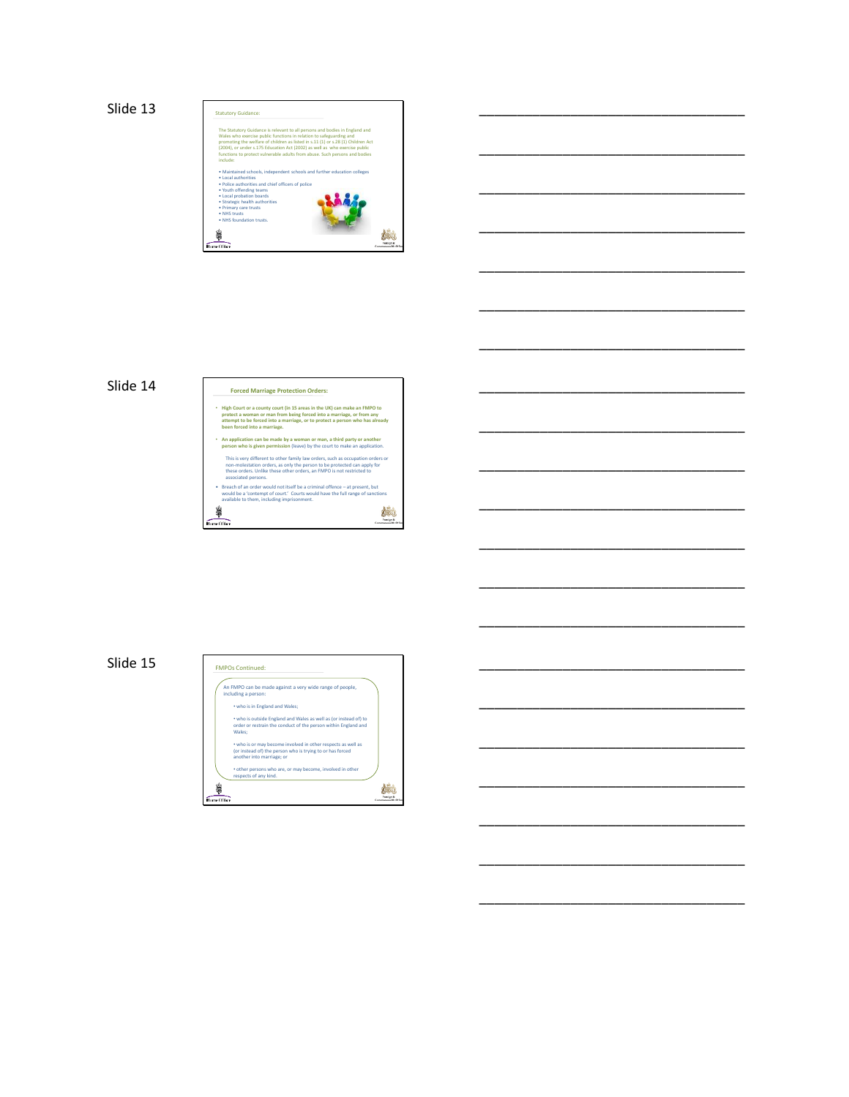

\_\_\_\_\_\_\_\_\_\_\_\_\_\_\_\_\_\_\_\_\_\_\_\_\_\_\_\_\_\_\_\_\_\_\_

\_\_\_\_\_\_\_\_\_\_\_\_\_\_\_\_\_\_\_\_\_\_\_\_\_\_\_\_\_\_\_\_\_\_\_

\_\_\_\_\_\_\_\_\_\_\_\_\_\_\_\_\_\_\_\_\_\_\_\_\_\_\_\_\_\_\_\_\_\_\_

\_\_\_\_\_\_\_\_\_\_\_\_\_\_\_\_\_\_\_\_\_\_\_\_\_\_\_\_\_\_\_\_\_\_\_

\_\_\_\_\_\_\_\_\_\_\_\_\_\_\_\_\_\_\_\_\_\_\_\_\_\_\_\_\_\_\_\_\_\_\_

\_\_\_\_\_\_\_\_\_\_\_\_\_\_\_\_\_\_\_\_\_\_\_\_\_\_\_\_\_\_\_\_\_\_\_

\_\_\_\_\_\_\_\_\_\_\_\_\_\_\_\_\_\_\_\_\_\_\_\_\_\_\_\_\_\_\_\_\_\_\_

\_\_\_\_\_\_\_\_\_\_\_\_\_\_\_\_\_\_\_\_\_\_\_\_\_\_\_\_\_\_\_\_\_\_\_

\_\_\_\_\_\_\_\_\_\_\_\_\_\_\_\_\_\_\_\_\_\_\_\_\_\_\_\_\_\_\_\_\_\_\_

\_\_\_\_\_\_\_\_\_\_\_\_\_\_\_\_\_\_\_\_\_\_\_\_\_\_\_\_\_\_\_\_\_\_\_

\_\_\_\_\_\_\_\_\_\_\_\_\_\_\_\_\_\_\_\_\_\_\_\_\_\_\_\_\_\_\_\_\_\_\_

\_\_\_\_\_\_\_\_\_\_\_\_\_\_\_\_\_\_\_\_\_\_\_\_\_\_\_\_\_\_\_\_\_\_\_

\_\_\_\_\_\_\_\_\_\_\_\_\_\_\_\_\_\_\_\_\_\_\_\_\_\_\_\_\_\_\_\_\_\_\_

\_\_\_\_\_\_\_\_\_\_\_\_\_\_\_\_\_\_\_\_\_\_\_\_\_\_\_\_\_\_\_\_\_\_\_

\_\_\_\_\_\_\_\_\_\_\_\_\_\_\_\_\_\_\_\_\_\_\_\_\_\_\_\_\_\_\_\_\_\_\_

\_\_\_\_\_\_\_\_\_\_\_\_\_\_\_\_\_\_\_\_\_\_\_\_\_\_\_\_\_\_\_\_\_\_\_

\_\_\_\_\_\_\_\_\_\_\_\_\_\_\_\_\_\_\_\_\_\_\_\_\_\_\_\_\_\_\_\_\_\_\_

\_\_\_\_\_\_\_\_\_\_\_\_\_\_\_\_\_\_\_\_\_\_\_\_\_\_\_\_\_\_\_\_\_\_\_

\_\_\_\_\_\_\_\_\_\_\_\_\_\_\_\_\_\_\_\_\_\_\_\_\_\_\_\_\_\_\_\_\_\_\_

\_\_\_\_\_\_\_\_\_\_\_\_\_\_\_\_\_\_\_\_\_\_\_\_\_\_\_\_\_\_\_\_\_\_\_

# Slide 14 **Forced Marriage Protection Orders:**

# • High Court or a county court (in 15 areas in the UK) can make an FMPO to<br>protect a woman or man from being forced into a marriage, or from any<br>attempt to be forced into a marriage, or to protect a person who has already<br> • **An application can be made by a woman or man, a third party or another person who is given permission** (leave) by the court to make an application. This is very different to other family law orders, such as occupation orders or<br>non-molestation orders, as only the person to be protected can apply for<br>these orders. Unlike these other orders, an FMPO is not restricted to

• Breach of an order would not itself be a criminal offence – at present, but would be a 'contempt of court.' Courts would have the full range of sanctions available to them, including imprisonment. 柿 \$  $_{\rm{eff}ee}$ 

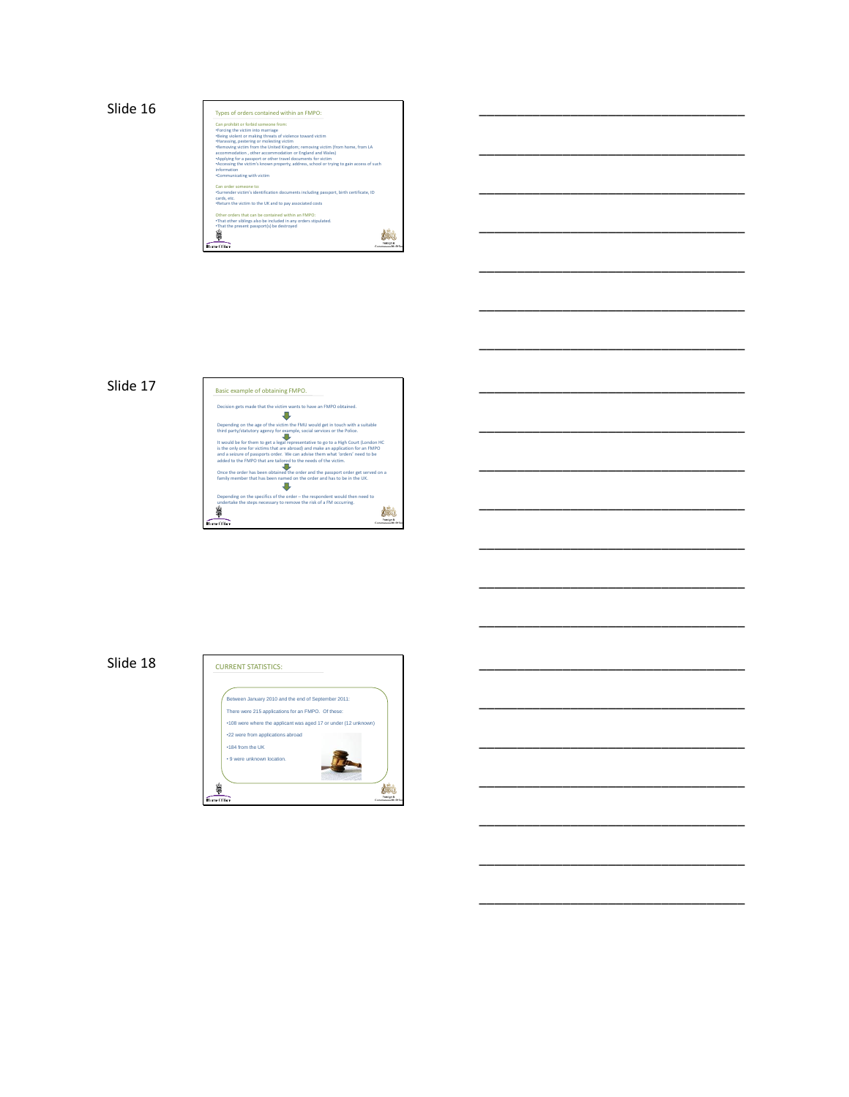

\_\_\_\_\_\_\_\_\_\_\_\_\_\_\_\_\_\_\_\_\_\_\_\_\_\_\_\_\_\_\_\_\_\_\_

\_\_\_\_\_\_\_\_\_\_\_\_\_\_\_\_\_\_\_\_\_\_\_\_\_\_\_\_\_\_\_\_\_\_\_

\_\_\_\_\_\_\_\_\_\_\_\_\_\_\_\_\_\_\_\_\_\_\_\_\_\_\_\_\_\_\_\_\_\_\_

\_\_\_\_\_\_\_\_\_\_\_\_\_\_\_\_\_\_\_\_\_\_\_\_\_\_\_\_\_\_\_\_\_\_\_

\_\_\_\_\_\_\_\_\_\_\_\_\_\_\_\_\_\_\_\_\_\_\_\_\_\_\_\_\_\_\_\_\_\_\_

\_\_\_\_\_\_\_\_\_\_\_\_\_\_\_\_\_\_\_\_\_\_\_\_\_\_\_\_\_\_\_\_\_\_\_

\_\_\_\_\_\_\_\_\_\_\_\_\_\_\_\_\_\_\_\_\_\_\_\_\_\_\_\_\_\_\_\_\_\_\_

\_\_\_\_\_\_\_\_\_\_\_\_\_\_\_\_\_\_\_\_\_\_\_\_\_\_\_\_\_\_\_\_\_\_\_

\_\_\_\_\_\_\_\_\_\_\_\_\_\_\_\_\_\_\_\_\_\_\_\_\_\_\_\_\_\_\_\_\_\_\_

\_\_\_\_\_\_\_\_\_\_\_\_\_\_\_\_\_\_\_\_\_\_\_\_\_\_\_\_\_\_\_\_\_\_\_

\_\_\_\_\_\_\_\_\_\_\_\_\_\_\_\_\_\_\_\_\_\_\_\_\_\_\_\_\_\_\_\_\_\_\_

\_\_\_\_\_\_\_\_\_\_\_\_\_\_\_\_\_\_\_\_\_\_\_\_\_\_\_\_\_\_\_\_\_\_\_

\_\_\_\_\_\_\_\_\_\_\_\_\_\_\_\_\_\_\_\_\_\_\_\_\_\_\_\_\_\_\_\_\_\_\_

\_\_\_\_\_\_\_\_\_\_\_\_\_\_\_\_\_\_\_\_\_\_\_\_\_\_\_\_\_\_\_\_\_\_\_

\_\_\_\_\_\_\_\_\_\_\_\_\_\_\_\_\_\_\_\_\_\_\_\_\_\_\_\_\_\_\_\_\_\_\_

\_\_\_\_\_\_\_\_\_\_\_\_\_\_\_\_\_\_\_\_\_\_\_\_\_\_\_\_\_\_\_\_\_\_\_

\_\_\_\_\_\_\_\_\_\_\_\_\_\_\_\_\_\_\_\_\_\_\_\_\_\_\_\_\_\_\_\_\_\_\_

\_\_\_\_\_\_\_\_\_\_\_\_\_\_\_\_\_\_\_\_\_\_\_\_\_\_\_\_\_\_\_\_\_\_\_

\_\_\_\_\_\_\_\_\_\_\_\_\_\_\_\_\_\_\_\_\_\_\_\_\_\_\_\_\_\_\_\_\_\_\_



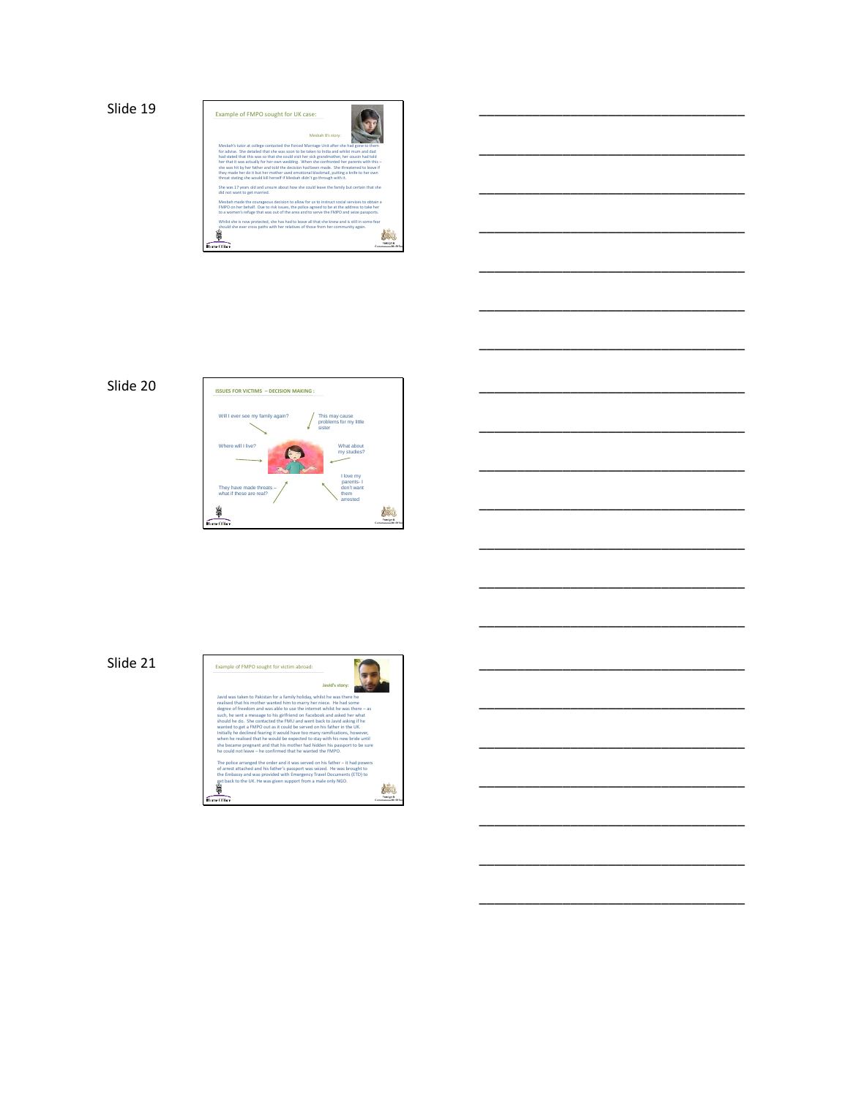

\_\_\_\_\_\_\_\_\_\_\_\_\_\_\_\_\_\_\_\_\_\_\_\_\_\_\_\_\_\_\_\_\_\_\_

\_\_\_\_\_\_\_\_\_\_\_\_\_\_\_\_\_\_\_\_\_\_\_\_\_\_\_\_\_\_\_\_\_\_\_

\_\_\_\_\_\_\_\_\_\_\_\_\_\_\_\_\_\_\_\_\_\_\_\_\_\_\_\_\_\_\_\_\_\_\_

\_\_\_\_\_\_\_\_\_\_\_\_\_\_\_\_\_\_\_\_\_\_\_\_\_\_\_\_\_\_\_\_\_\_\_

\_\_\_\_\_\_\_\_\_\_\_\_\_\_\_\_\_\_\_\_\_\_\_\_\_\_\_\_\_\_\_\_\_\_\_

\_\_\_\_\_\_\_\_\_\_\_\_\_\_\_\_\_\_\_\_\_\_\_\_\_\_\_\_\_\_\_\_\_\_\_

\_\_\_\_\_\_\_\_\_\_\_\_\_\_\_\_\_\_\_\_\_\_\_\_\_\_\_\_\_\_\_\_\_\_\_

\_\_\_\_\_\_\_\_\_\_\_\_\_\_\_\_\_\_\_\_\_\_\_\_\_\_\_\_\_\_\_\_\_\_\_

\_\_\_\_\_\_\_\_\_\_\_\_\_\_\_\_\_\_\_\_\_\_\_\_\_\_\_\_\_\_\_\_\_\_\_

\_\_\_\_\_\_\_\_\_\_\_\_\_\_\_\_\_\_\_\_\_\_\_\_\_\_\_\_\_\_\_\_\_\_\_

\_\_\_\_\_\_\_\_\_\_\_\_\_\_\_\_\_\_\_\_\_\_\_\_\_\_\_\_\_\_\_\_\_\_\_

\_\_\_\_\_\_\_\_\_\_\_\_\_\_\_\_\_\_\_\_\_\_\_\_\_\_\_\_\_\_\_\_\_\_\_

\_\_\_\_\_\_\_\_\_\_\_\_\_\_\_\_\_\_\_\_\_\_\_\_\_\_\_\_\_\_\_\_\_\_\_

\_\_\_\_\_\_\_\_\_\_\_\_\_\_\_\_\_\_\_\_\_\_\_\_\_\_\_\_\_\_\_\_\_\_\_

\_\_\_\_\_\_\_\_\_\_\_\_\_\_\_\_\_\_\_\_\_\_\_\_\_\_\_\_\_\_\_\_\_\_\_

\_\_\_\_\_\_\_\_\_\_\_\_\_\_\_\_\_\_\_\_\_\_\_\_\_\_\_\_\_\_\_\_\_\_\_

\_\_\_\_\_\_\_\_\_\_\_\_\_\_\_\_\_\_\_\_\_\_\_\_\_\_\_\_\_\_\_\_\_\_\_

\_\_\_\_\_\_\_\_\_\_\_\_\_\_\_\_\_\_\_\_\_\_\_\_\_\_\_\_\_\_\_\_\_\_\_

\_\_\_\_\_\_\_\_\_\_\_\_\_\_\_\_\_\_\_\_\_\_\_\_\_\_\_\_\_\_\_\_\_\_\_



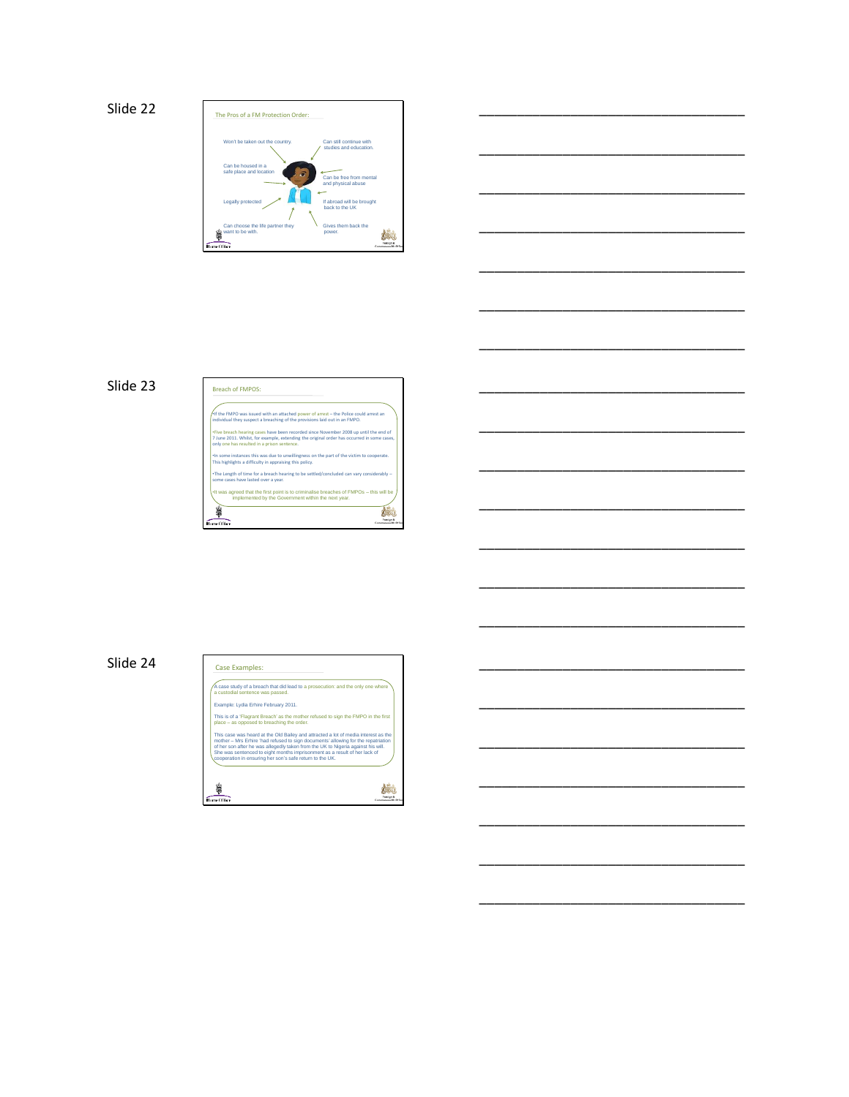



\_\_\_\_\_\_\_\_\_\_\_\_\_\_\_\_\_\_\_\_\_\_\_\_\_\_\_\_\_\_\_\_\_\_\_

\_\_\_\_\_\_\_\_\_\_\_\_\_\_\_\_\_\_\_\_\_\_\_\_\_\_\_\_\_\_\_\_\_\_\_

\_\_\_\_\_\_\_\_\_\_\_\_\_\_\_\_\_\_\_\_\_\_\_\_\_\_\_\_\_\_\_\_\_\_\_

\_\_\_\_\_\_\_\_\_\_\_\_\_\_\_\_\_\_\_\_\_\_\_\_\_\_\_\_\_\_\_\_\_\_\_

\_\_\_\_\_\_\_\_\_\_\_\_\_\_\_\_\_\_\_\_\_\_\_\_\_\_\_\_\_\_\_\_\_\_\_

\_\_\_\_\_\_\_\_\_\_\_\_\_\_\_\_\_\_\_\_\_\_\_\_\_\_\_\_\_\_\_\_\_\_\_

\_\_\_\_\_\_\_\_\_\_\_\_\_\_\_\_\_\_\_\_\_\_\_\_\_\_\_\_\_\_\_\_\_\_\_

\_\_\_\_\_\_\_\_\_\_\_\_\_\_\_\_\_\_\_\_\_\_\_\_\_\_\_\_\_\_\_\_\_\_\_

\_\_\_\_\_\_\_\_\_\_\_\_\_\_\_\_\_\_\_\_\_\_\_\_\_\_\_\_\_\_\_\_\_\_\_

\_\_\_\_\_\_\_\_\_\_\_\_\_\_\_\_\_\_\_\_\_\_\_\_\_\_\_\_\_\_\_\_\_\_\_

\_\_\_\_\_\_\_\_\_\_\_\_\_\_\_\_\_\_\_\_\_\_\_\_\_\_\_\_\_\_\_\_\_\_\_

\_\_\_\_\_\_\_\_\_\_\_\_\_\_\_\_\_\_\_\_\_\_\_\_\_\_\_\_\_\_\_\_\_\_\_

\_\_\_\_\_\_\_\_\_\_\_\_\_\_\_\_\_\_\_\_\_\_\_\_\_\_\_\_\_\_\_\_\_\_\_



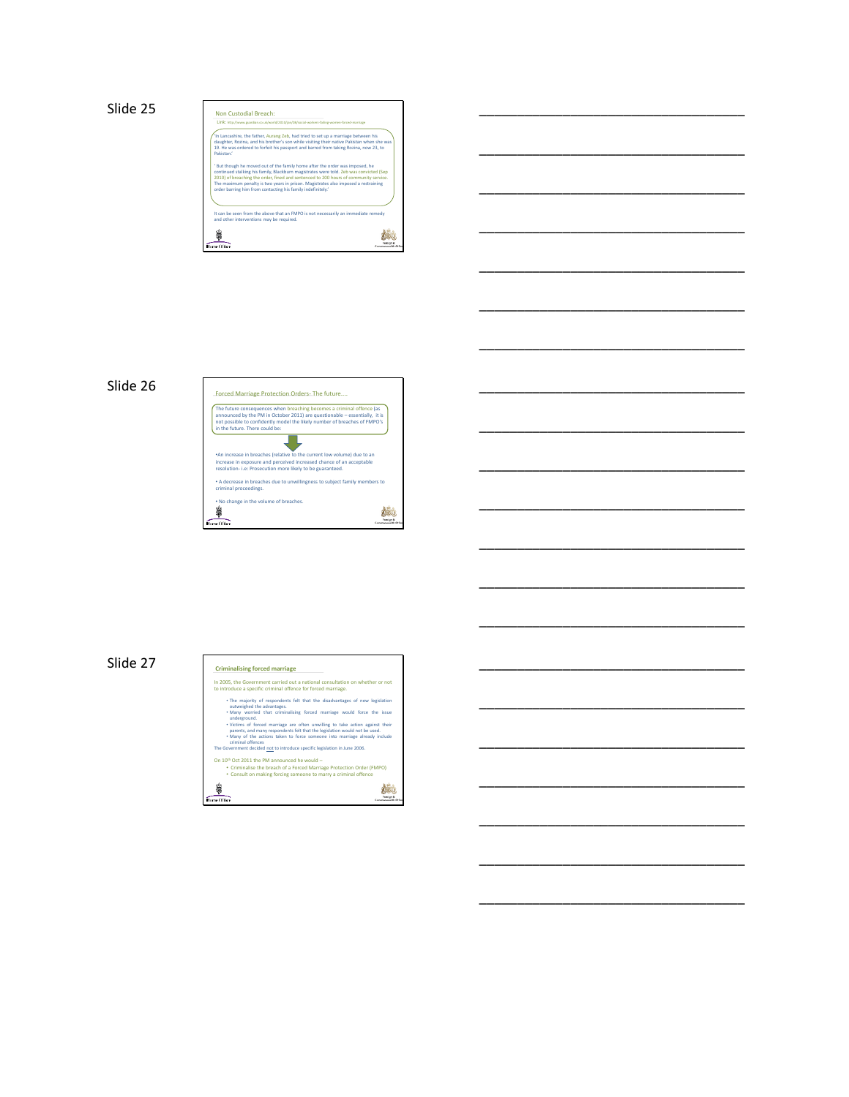



\_\_\_\_\_\_\_\_\_\_\_\_\_\_\_\_\_\_\_\_\_\_\_\_\_\_\_\_\_\_\_\_\_\_\_

\_\_\_\_\_\_\_\_\_\_\_\_\_\_\_\_\_\_\_\_\_\_\_\_\_\_\_\_\_\_\_\_\_\_\_

\_\_\_\_\_\_\_\_\_\_\_\_\_\_\_\_\_\_\_\_\_\_\_\_\_\_\_\_\_\_\_\_\_\_\_

\_\_\_\_\_\_\_\_\_\_\_\_\_\_\_\_\_\_\_\_\_\_\_\_\_\_\_\_\_\_\_\_\_\_\_

\_\_\_\_\_\_\_\_\_\_\_\_\_\_\_\_\_\_\_\_\_\_\_\_\_\_\_\_\_\_\_\_\_\_\_

\_\_\_\_\_\_\_\_\_\_\_\_\_\_\_\_\_\_\_\_\_\_\_\_\_\_\_\_\_\_\_\_\_\_\_

\_\_\_\_\_\_\_\_\_\_\_\_\_\_\_\_\_\_\_\_\_\_\_\_\_\_\_\_\_\_\_\_\_\_\_

\_\_\_\_\_\_\_\_\_\_\_\_\_\_\_\_\_\_\_\_\_\_\_\_\_\_\_\_\_\_\_\_\_\_\_

\_\_\_\_\_\_\_\_\_\_\_\_\_\_\_\_\_\_\_\_\_\_\_\_\_\_\_\_\_\_\_\_\_\_\_

\_\_\_\_\_\_\_\_\_\_\_\_\_\_\_\_\_\_\_\_\_\_\_\_\_\_\_\_\_\_\_\_\_\_\_

\_\_\_\_\_\_\_\_\_\_\_\_\_\_\_\_\_\_\_\_\_\_\_\_\_\_\_\_\_\_\_\_\_\_\_

\_\_\_\_\_\_\_\_\_\_\_\_\_\_\_\_\_\_\_\_\_\_\_\_\_\_\_\_\_\_\_\_\_\_\_

\_\_\_\_\_\_\_\_\_\_\_\_\_\_\_\_\_\_\_\_\_\_\_\_\_\_\_\_\_\_\_\_\_\_\_

\_\_\_\_\_\_\_\_\_\_\_\_\_\_\_\_\_\_\_\_\_\_\_\_\_\_\_\_\_\_\_\_\_\_\_

\_\_\_\_\_\_\_\_\_\_\_\_\_\_\_\_\_\_\_\_\_\_\_\_\_\_\_\_\_\_\_\_\_\_\_

\_\_\_\_\_\_\_\_\_\_\_\_\_\_\_\_\_\_\_\_\_\_\_\_\_\_\_\_\_\_\_\_\_\_\_

\_\_\_\_\_\_\_\_\_\_\_\_\_\_\_\_\_\_\_\_\_\_\_\_\_\_\_\_\_\_\_\_\_\_\_

\_\_\_\_\_\_\_\_\_\_\_\_\_\_\_\_\_\_\_\_\_\_\_\_\_\_\_\_\_\_\_\_\_\_\_

\_\_\_\_\_\_\_\_\_\_\_\_\_\_\_\_\_\_\_\_\_\_\_\_\_\_\_\_\_\_\_\_\_\_\_



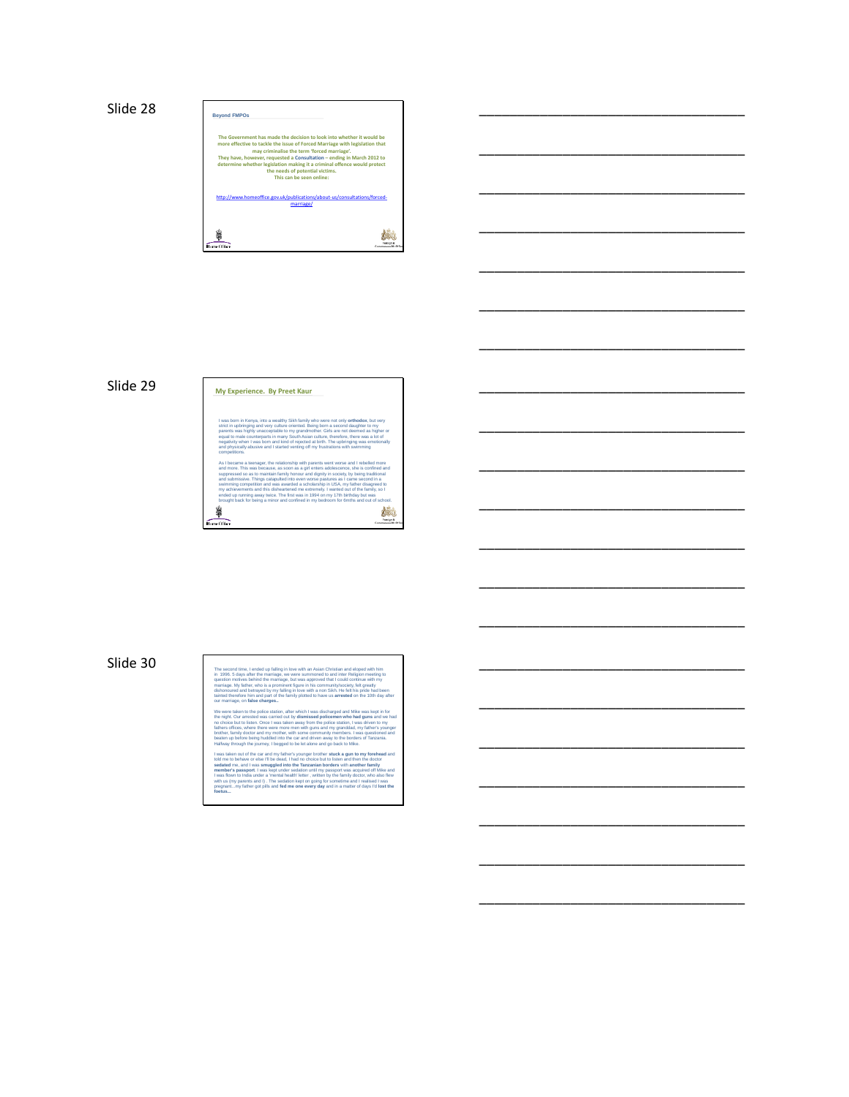



\_\_\_\_\_\_\_\_\_\_\_\_\_\_\_\_\_\_\_\_\_\_\_\_\_\_\_\_\_\_\_\_\_\_\_

\_\_\_\_\_\_\_\_\_\_\_\_\_\_\_\_\_\_\_\_\_\_\_\_\_\_\_\_\_\_\_\_\_\_\_

\_\_\_\_\_\_\_\_\_\_\_\_\_\_\_\_\_\_\_\_\_\_\_\_\_\_\_\_\_\_\_\_\_\_\_

\_\_\_\_\_\_\_\_\_\_\_\_\_\_\_\_\_\_\_\_\_\_\_\_\_\_\_\_\_\_\_\_\_\_\_

\_\_\_\_\_\_\_\_\_\_\_\_\_\_\_\_\_\_\_\_\_\_\_\_\_\_\_\_\_\_\_\_\_\_\_

\_\_\_\_\_\_\_\_\_\_\_\_\_\_\_\_\_\_\_\_\_\_\_\_\_\_\_\_\_\_\_\_\_\_\_

\_\_\_\_\_\_\_\_\_\_\_\_\_\_\_\_\_\_\_\_\_\_\_\_\_\_\_\_\_\_\_\_\_\_\_

\_\_\_\_\_\_\_\_\_\_\_\_\_\_\_\_\_\_\_\_\_\_\_\_\_\_\_\_\_\_\_\_\_\_\_

\_\_\_\_\_\_\_\_\_\_\_\_\_\_\_\_\_\_\_\_\_\_\_\_\_\_\_\_\_\_\_\_\_\_\_

\_\_\_\_\_\_\_\_\_\_\_\_\_\_\_\_\_\_\_\_\_\_\_\_\_\_\_\_\_\_\_\_\_\_\_

\_\_\_\_\_\_\_\_\_\_\_\_\_\_\_\_\_\_\_\_\_\_\_\_\_\_\_\_\_\_\_\_\_\_\_

\_\_\_\_\_\_\_\_\_\_\_\_\_\_\_\_\_\_\_\_\_\_\_\_\_\_\_\_\_\_\_\_\_\_\_

\_\_\_\_\_\_\_\_\_\_\_\_\_\_\_\_\_\_\_\_\_\_\_\_\_\_\_\_\_\_\_\_\_\_\_

\_\_\_\_\_\_\_\_\_\_\_\_\_\_\_\_\_\_\_\_\_\_\_\_\_\_\_\_\_\_\_\_\_\_\_

\_\_\_\_\_\_\_\_\_\_\_\_\_\_\_\_\_\_\_\_\_\_\_\_\_\_\_\_\_\_\_\_\_\_\_

\_\_\_\_\_\_\_\_\_\_\_\_\_\_\_\_\_\_\_\_\_\_\_\_\_\_\_\_\_\_\_\_\_\_\_

\_\_\_\_\_\_\_\_\_\_\_\_\_\_\_\_\_\_\_\_\_\_\_\_\_\_\_\_\_\_\_\_\_\_\_

\_\_\_\_\_\_\_\_\_\_\_\_\_\_\_\_\_\_\_\_\_\_\_\_\_\_\_\_\_\_\_\_\_\_\_

\_\_\_\_\_\_\_\_\_\_\_\_\_\_\_\_\_\_\_\_\_\_\_\_\_\_\_\_\_\_\_\_\_\_\_

# Slide 29 **My Experience.** By Preet Kaur

I was born in Kenya, into a wealthy Sikh family who were not only **orthodox**, but very<br>strict in upbringing and very culture oriented. Being born a second daughter to my<br>parents was highly unacceptable to my grandmother. G and physically abusive and I started venting off my frustrations with swimming competitions.

As I became a teenager, the relationship with parents went worse and I rebelled more<br>and more. This was because, as soon as a girl enters adolescence, she is confined and<br>suppressed so as to maintain family honour and dign swimming competition and was awarded a scholarship in USA, my father disagreed to my achievements and this disheartened me extremely. I wanted out of the family, so I uisneariene<br>ce. The first brought back for being a minor and confined in my bedroom for 6mths and out of school. Ś 柿  $rac{1}{2}$ 

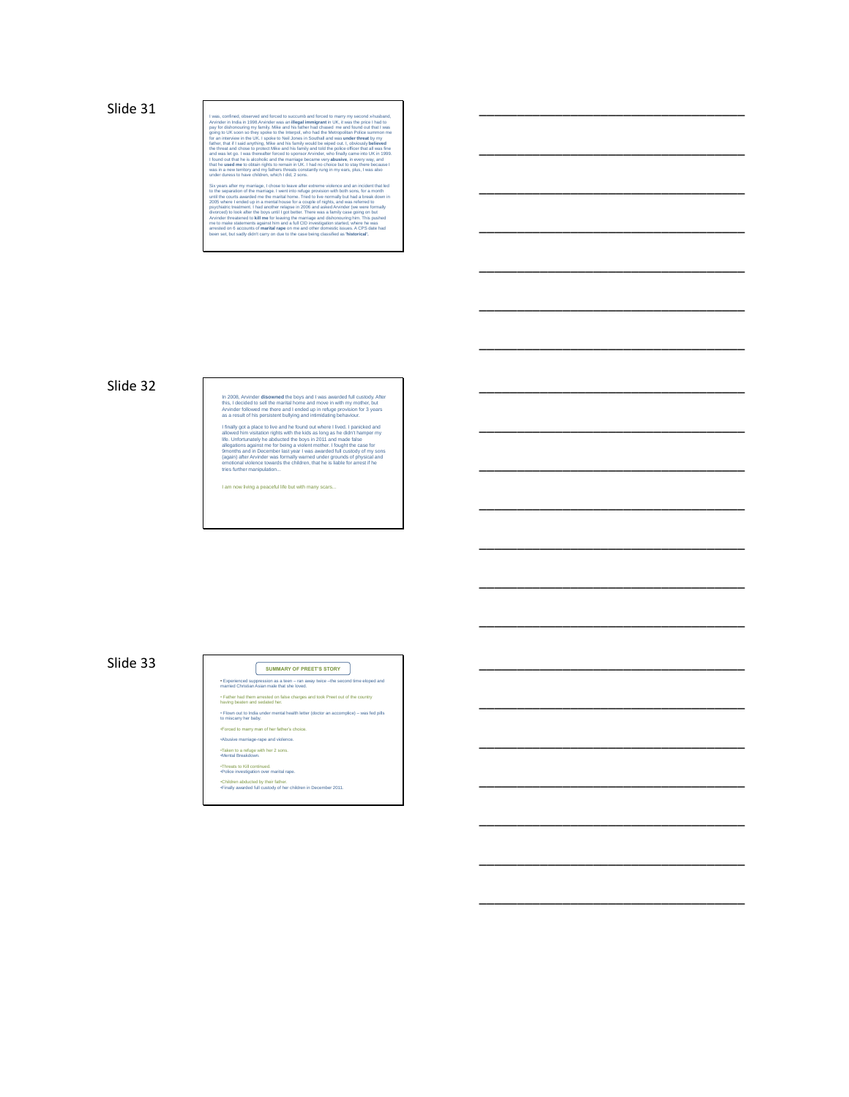

\_\_\_\_\_\_\_\_\_\_\_\_\_\_\_\_\_\_\_\_\_\_\_\_\_\_\_\_\_\_\_\_\_\_\_

\_\_\_\_\_\_\_\_\_\_\_\_\_\_\_\_\_\_\_\_\_\_\_\_\_\_\_\_\_\_\_\_\_\_\_

\_\_\_\_\_\_\_\_\_\_\_\_\_\_\_\_\_\_\_\_\_\_\_\_\_\_\_\_\_\_\_\_\_\_\_

\_\_\_\_\_\_\_\_\_\_\_\_\_\_\_\_\_\_\_\_\_\_\_\_\_\_\_\_\_\_\_\_\_\_\_

\_\_\_\_\_\_\_\_\_\_\_\_\_\_\_\_\_\_\_\_\_\_\_\_\_\_\_\_\_\_\_\_\_\_\_

\_\_\_\_\_\_\_\_\_\_\_\_\_\_\_\_\_\_\_\_\_\_\_\_\_\_\_\_\_\_\_\_\_\_\_

\_\_\_\_\_\_\_\_\_\_\_\_\_\_\_\_\_\_\_\_\_\_\_\_\_\_\_\_\_\_\_\_\_\_\_

\_\_\_\_\_\_\_\_\_\_\_\_\_\_\_\_\_\_\_\_\_\_\_\_\_\_\_\_\_\_\_\_\_\_\_

\_\_\_\_\_\_\_\_\_\_\_\_\_\_\_\_\_\_\_\_\_\_\_\_\_\_\_\_\_\_\_\_\_\_\_

\_\_\_\_\_\_\_\_\_\_\_\_\_\_\_\_\_\_\_\_\_\_\_\_\_\_\_\_\_\_\_\_\_\_\_

\_\_\_\_\_\_\_\_\_\_\_\_\_\_\_\_\_\_\_\_\_\_\_\_\_\_\_\_\_\_\_\_\_\_\_

\_\_\_\_\_\_\_\_\_\_\_\_\_\_\_\_\_\_\_\_\_\_\_\_\_\_\_\_\_\_\_\_\_\_\_

\_\_\_\_\_\_\_\_\_\_\_\_\_\_\_\_\_\_\_\_\_\_\_\_\_\_\_\_\_\_\_\_\_\_\_

\_\_\_\_\_\_\_\_\_\_\_\_\_\_\_\_\_\_\_\_\_\_\_\_\_\_\_\_\_\_\_\_\_\_\_

\_\_\_\_\_\_\_\_\_\_\_\_\_\_\_\_\_\_\_\_\_\_\_\_\_\_\_\_\_\_\_\_\_\_\_

\_\_\_\_\_\_\_\_\_\_\_\_\_\_\_\_\_\_\_\_\_\_\_\_\_\_\_\_\_\_\_\_\_\_\_

\_\_\_\_\_\_\_\_\_\_\_\_\_\_\_\_\_\_\_\_\_\_\_\_\_\_\_\_\_\_\_\_\_\_\_

\_\_\_\_\_\_\_\_\_\_\_\_\_\_\_\_\_\_\_\_\_\_\_\_\_\_\_\_\_\_\_\_\_\_\_

\_\_\_\_\_\_\_\_\_\_\_\_\_\_\_\_\_\_\_\_\_\_\_\_\_\_\_\_\_\_\_\_\_\_\_

\_\_\_\_\_\_\_\_\_\_\_\_\_\_\_\_\_\_\_\_\_\_\_\_\_\_\_\_\_\_\_\_\_\_\_

## Slide 32

In 2008, Arvinder **disowned** the boys and I was awarded full custody. After<br>this, I decided to sell the marital home and move in with my mother, but<br>Arvinder followed me there and I ended up in refuge provision for 3 years

I finally got a place to live and his found out where I lived. I painticked and<br>allowed him visitation rights with the kids as long as he didn't hamper my<br>life. Unfortunately he abducted the boys in 2011 and made false<br>all

I am now living a peaceful life but with many scars...

# Slide 33 • Experienced suppression as a teen – ran away twice –the second time eloped and married Christian Asian male that she loved.

• Father had them arrested on false charges and took Preet out of the country having beaten and sedated her.

• Flown out to India under mental health letter (doctor an accomplice) – was fed pills to miscarry her baby.

•Forced to marry man of her father's choice.

•Abusive marriage-rape and violence.

•Taken to a refuge with her 2 sons. •Mental Breakdown.

•Threats to Kill continued. •Police investigation over marital rape.

•Children abducted by their father. •Finally awarded full custody of her children in December 2011.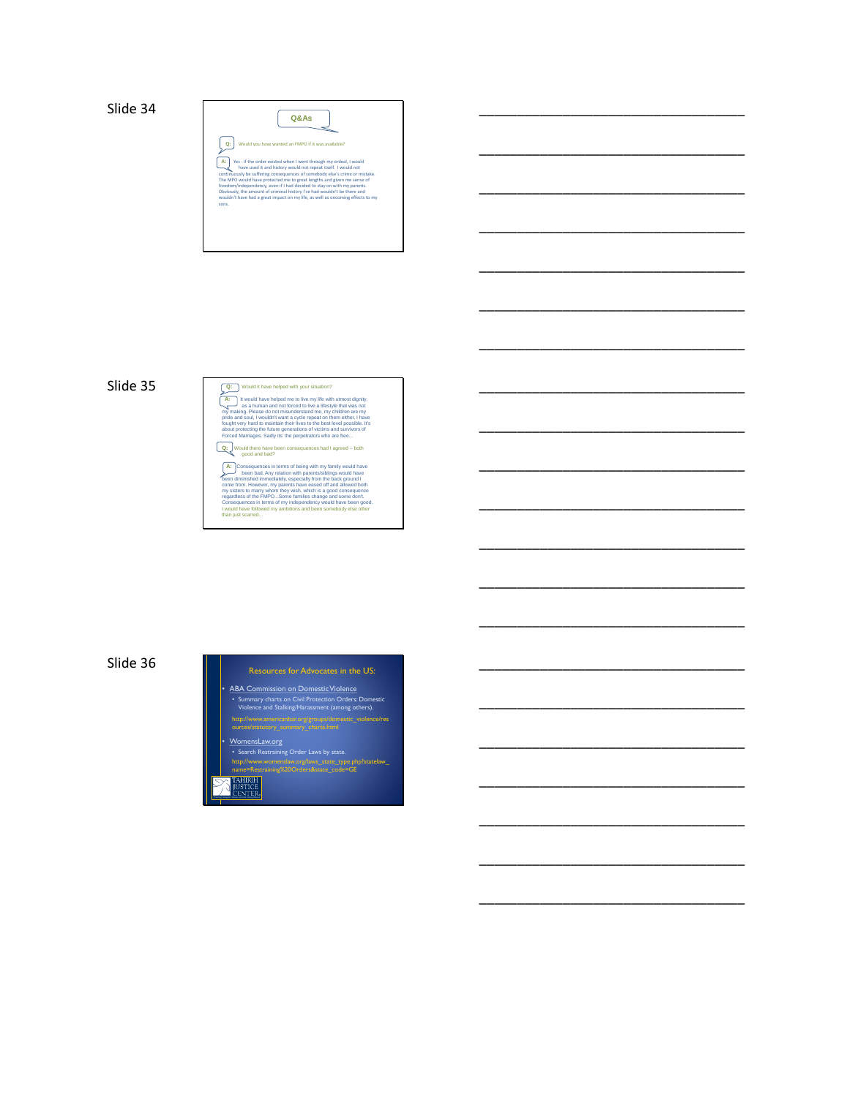

\_\_\_\_\_\_\_\_\_\_\_\_\_\_\_\_\_\_\_\_\_\_\_\_\_\_\_\_\_\_\_\_\_\_\_

\_\_\_\_\_\_\_\_\_\_\_\_\_\_\_\_\_\_\_\_\_\_\_\_\_\_\_\_\_\_\_\_\_\_\_

\_\_\_\_\_\_\_\_\_\_\_\_\_\_\_\_\_\_\_\_\_\_\_\_\_\_\_\_\_\_\_\_\_\_\_

\_\_\_\_\_\_\_\_\_\_\_\_\_\_\_\_\_\_\_\_\_\_\_\_\_\_\_\_\_\_\_\_\_\_\_

\_\_\_\_\_\_\_\_\_\_\_\_\_\_\_\_\_\_\_\_\_\_\_\_\_\_\_\_\_\_\_\_\_\_\_

\_\_\_\_\_\_\_\_\_\_\_\_\_\_\_\_\_\_\_\_\_\_\_\_\_\_\_\_\_\_\_\_\_\_\_

\_\_\_\_\_\_\_\_\_\_\_\_\_\_\_\_\_\_\_\_\_\_\_\_\_\_\_\_\_\_\_\_\_\_\_

\_\_\_\_\_\_\_\_\_\_\_\_\_\_\_\_\_\_\_\_\_\_\_\_\_\_\_\_\_\_\_\_\_\_\_

\_\_\_\_\_\_\_\_\_\_\_\_\_\_\_\_\_\_\_\_\_\_\_\_\_\_\_\_\_\_\_\_\_\_\_

\_\_\_\_\_\_\_\_\_\_\_\_\_\_\_\_\_\_\_\_\_\_\_\_\_\_\_\_\_\_\_\_\_\_\_

\_\_\_\_\_\_\_\_\_\_\_\_\_\_\_\_\_\_\_\_\_\_\_\_\_\_\_\_\_\_\_\_\_\_\_

\_\_\_\_\_\_\_\_\_\_\_\_\_\_\_\_\_\_\_\_\_\_\_\_\_\_\_\_\_\_\_\_\_\_\_

\_\_\_\_\_\_\_\_\_\_\_\_\_\_\_\_\_\_\_\_\_\_\_\_\_\_\_\_\_\_\_\_\_\_\_

\_\_\_\_\_\_\_\_\_\_\_\_\_\_\_\_\_\_\_\_\_\_\_\_\_\_\_\_\_\_\_\_\_\_\_

\_\_\_\_\_\_\_\_\_\_\_\_\_\_\_\_\_\_\_\_\_\_\_\_\_\_\_\_\_\_\_\_\_\_\_

\_\_\_\_\_\_\_\_\_\_\_\_\_\_\_\_\_\_\_\_\_\_\_\_\_\_\_\_\_\_\_\_\_\_\_

\_\_\_\_\_\_\_\_\_\_\_\_\_\_\_\_\_\_\_\_\_\_\_\_\_\_\_\_\_\_\_\_\_\_\_

\_\_\_\_\_\_\_\_\_\_\_\_\_\_\_\_\_\_\_\_\_\_\_\_\_\_\_\_\_\_\_\_\_\_\_

\_\_\_\_\_\_\_\_\_\_\_\_\_\_\_\_\_\_\_\_\_\_\_\_\_\_\_\_\_\_\_\_\_\_\_

\_\_\_\_\_\_\_\_\_\_\_\_\_\_\_\_\_\_\_\_\_\_\_\_\_\_\_\_\_\_\_\_\_\_\_

## Slide 35 **Vould it have helped with your situation?**

A:  $\frac{1}{2}$  It would have helped me to live any life with utmost dignity, and a sa a human and not forced to live a lifestyle that was not pride and soul, i wouldn't want a cycle repeat on them, the plane of the propriet Q: Would there have been consequences had I agreed – both good and bad?  $\mathbf{A}$ : Consequences in terms of being with my family would have<br>been diminished immediately, especially from the back ground in<br>diminished immediately, especially from the back ground in<br>come from. However, my parents

regardless of the FMPO...Some families change and some don't. Consequences in terms of my independency would have been good. I would have followed my ambitions and been somebody else other than just scarred...

Slide 36